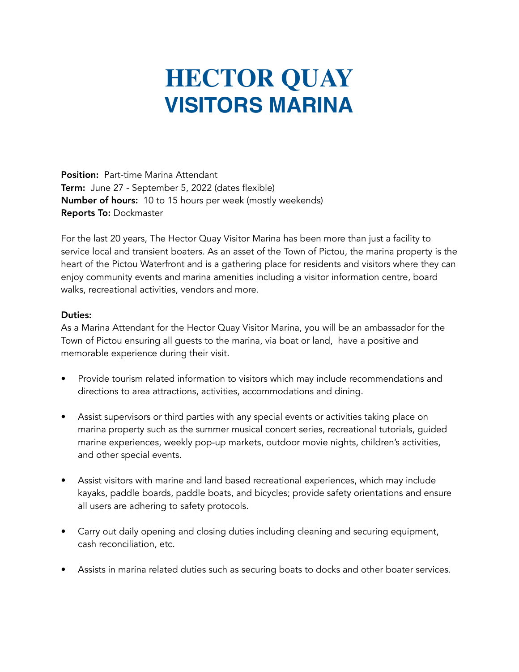## **HECTOR QUAY VISITORS MARINA**

Position: Part-time Marina Attendant Term: June 27 - September 5, 2022 (dates flexible) Number of hours: 10 to 15 hours per week (mostly weekends) Reports To: Dockmaster

For the last 20 years, The Hector Quay Visitor Marina has been more than just a facility to service local and transient boaters. As an asset of the Town of Pictou, the marina property is the heart of the Pictou Waterfront and is a gathering place for residents and visitors where they can enjoy community events and marina amenities including a visitor information centre, board walks, recreational activities, vendors and more.

## Duties:

As a Marina Attendant for the Hector Quay Visitor Marina, you will be an ambassador for the Town of Pictou ensuring all guests to the marina, via boat or land, have a positive and memorable experience during their visit.

- Provide tourism related information to visitors which may include recommendations and directions to area attractions, activities, accommodations and dining.
- Assist supervisors or third parties with any special events or activities taking place on marina property such as the summer musical concert series, recreational tutorials, guided marine experiences, weekly pop-up markets, outdoor movie nights, children's activities, and other special events.
- Assist visitors with marine and land based recreational experiences, which may include kayaks, paddle boards, paddle boats, and bicycles; provide safety orientations and ensure all users are adhering to safety protocols.
- Carry out daily opening and closing duties including cleaning and securing equipment, cash reconciliation, etc.
- Assists in marina related duties such as securing boats to docks and other boater services.